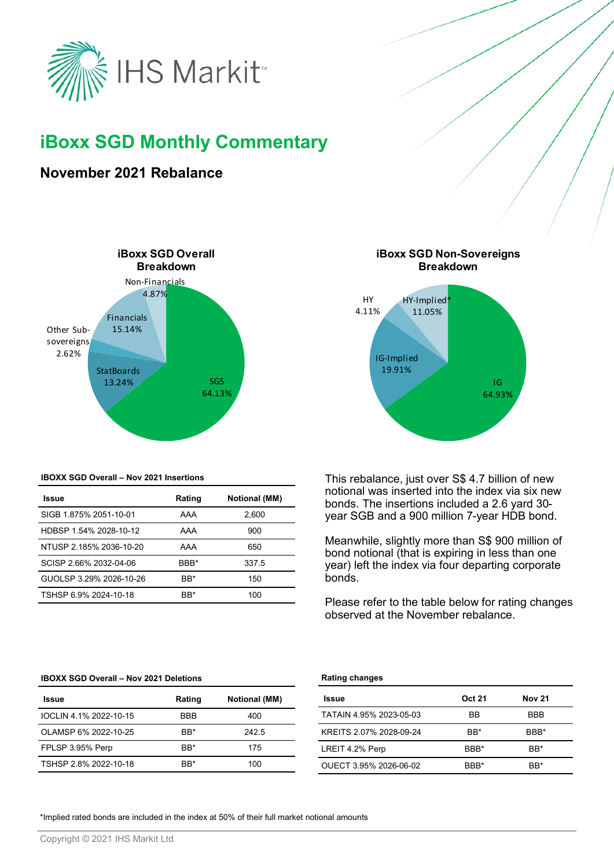

# **iBoxx SGD Monthly Commentary**

# **November 2021 Rebalance**



#### **IBOXX SGD Overall – Nov 2021 Insertions**

| Rating | <b>Notional (MM)</b> |
|--------|----------------------|
| AAA    | 2.600                |
| AAA    | 900                  |
| AAA    | 650                  |
| BBB*   | 337.5                |
| BB*    | 150                  |
| BB*    | 100                  |
|        |                      |



This rebalance, just over S\$ 4.7 billion of new notional was inserted into the index via six new bonds. The insertions included a 2.6 yard 30 year SGB and a 900 million 7-year HDB bond.

Meanwhile, slightly more than S\$ 900 million of bond notional (that is expiring in less than one year) left the index via four departing corporate bonds.

Please refer to the table below for rating changes observed at the November rebalance.

#### **IBOXX SGD Overall – Nov 2021 Deletions**

| Issue                  | Rating           | <b>Notional (MM)</b> |
|------------------------|------------------|----------------------|
| IOCLIN 4.1% 2022-10-15 | <b>BBB</b>       | 400                  |
| OLAMSP 6% 2022-10-25   | B <sub>R</sub> * | 242.5                |
| FPLSP 3.95% Perp       | BB*              | 175                  |
| TSHSP 2.8% 2022-10-18  | RR*              | 100                  |

### **Rating changes**

| <b>Issue</b>            | <b>Oct 21</b>    | <b>Nov 21</b>    |
|-------------------------|------------------|------------------|
| TATAIN 4.95% 2023-05-03 | <b>BB</b>        | <b>BBB</b>       |
| KREITS 2.07% 2028-09-24 | B <sub>R</sub> * | BBB*             |
| LREIT 4.2% Perp         | BBB*             | B <sub>R</sub> * |
| OUECT 3.95% 2026-06-02  | BBB*             | B <sub>R</sub> * |

\*Implied rated bonds are included in the index at 50% of their full market notional amounts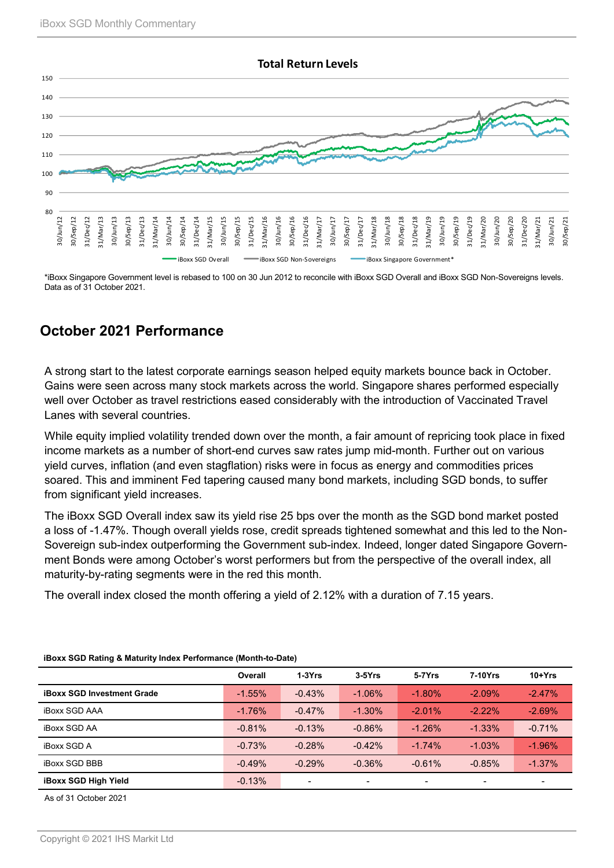

\*iBoxx Singapore Government level is rebased to 100 on 30 Jun 2012 to reconcile with iBoxx SGD Overall and iBoxx SGD Non-Sovereigns levels. Data as of 31 October 2021.

# **October 2021 Performance**

A strong start to the latest corporate earnings season helped equity markets bounce back in October. Gains were seen across many stock markets across the world. Singapore shares performed especially well over October as travel restrictions eased considerably with the introduction of Vaccinated Travel Lanes with several countries.

While equity implied volatility trended down over the month, a fair amount of repricing took place in fixed income markets as a number of short-end curves saw rates jump mid-month. Further out on various yield curves, inflation (and even stagflation) risks were in focus as energy and commodities prices soared. This and imminent Fed tapering caused many bond markets, including SGD bonds, to suffer from significant yield increases.

The iBoxx SGD Overall index saw its yield rise 25 bps over the month as the SGD bond market posted a loss of -1.47%. Though overall yields rose, credit spreads tightened somewhat and this led to the Non-Sovereign sub-index outperforming the Government sub-index. Indeed, longer dated Singapore Government Bonds were among October's worst performers but from the perspective of the overall index, all maturity-by-rating segments were in the red this month.

The overall index closed the month offering a yield of 2.12% with a duration of 7.15 years.

|                                   | Overall  | $1-3Yrs$ | $3-5Yrs$  | 5-7Yrs    | 7-10Yrs   | $10+Yrs$       |
|-----------------------------------|----------|----------|-----------|-----------|-----------|----------------|
| <b>iBoxx SGD Investment Grade</b> | $-1.55%$ | $-0.43%$ | $-1.06\%$ | $-1.80%$  | $-2.09%$  | $-2.47%$       |
| <b>iBoxx SGD AAA</b>              | $-1.76%$ | $-0.47%$ | $-1.30\%$ | $-2.01\%$ | $-2.22\%$ | $-2.69%$       |
| <b>iBoxx SGD AA</b>               | $-0.81%$ | $-0.13%$ | $-0.86%$  | $-1.26%$  | $-1.33\%$ | $-0.71%$       |
| <b>iBoxx SGD A</b>                | $-0.73%$ | $-0.28%$ | $-0.42%$  | $-1.74%$  | $-1.03%$  | $-1.96%$       |
| <b>iBoxx SGD BBB</b>              | $-0.49%$ | $-0.29%$ | $-0.36%$  | $-0.61%$  | $-0.85%$  | $-1.37\%$      |
| <b>iBoxx SGD High Yield</b>       | $-0.13%$ |          |           | $\,$      | $\,$      | $\blacksquare$ |

### **iBoxx SGD Rating & Maturity Index Performance (Month-to-Date)**

As of 31 October 2021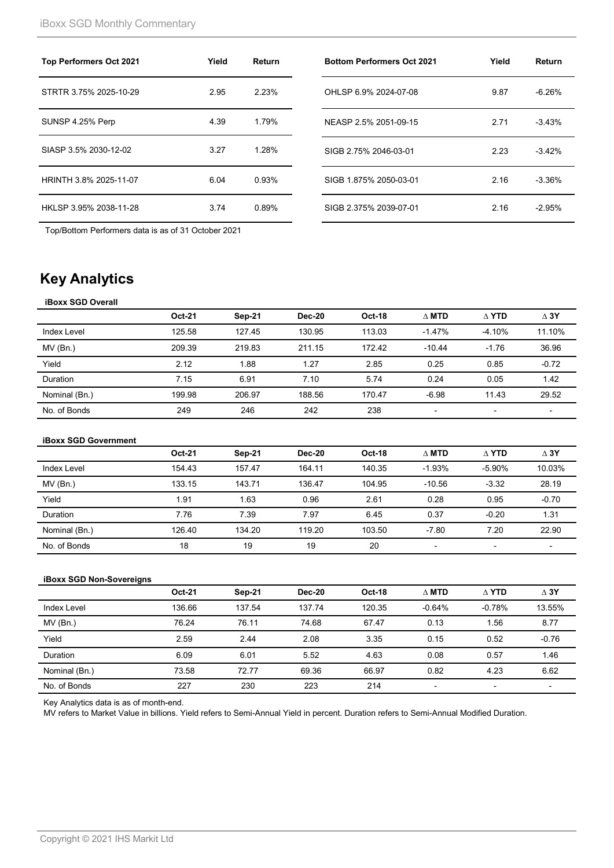| <b>Top Performers Oct 2021</b> | Yield | Return |
|--------------------------------|-------|--------|
| STRTR 3.75% 2025-10-29         | 2.95  | 2.23%  |
| SUNSP 4.25% Perp               | 4.39  | 1.79%  |
| SIASP 3.5% 2030-12-02          | 3.27  | 1.28%  |
| HRINTH 3.8% 2025-11-07         | 6.04  | 0.93%  |
| HKLSP 3.95% 2038-11-28         | 3.74  | 0.89%  |

Top/Bottom Performers data is as of 31 October 2021

| <b>Bottom Performers Oct 2021</b> | Yield | Return   |
|-----------------------------------|-------|----------|
| OHLSP 6.9% 2024-07-08             | 9.87  | $-6.26%$ |
| NEASP 2.5% 2051-09-15             | 2.71  | $-3.43%$ |
| SIGB 2.75% 2046-03-01             | 2.23  | $-3.42%$ |
| SIGB 1.875% 2050-03-01            | 2.16  | $-3.36%$ |
| SIGB 2.375% 2039-07-01            | 2.16  | $-2.95%$ |

# **Key Analytics**

### **iBoxx SGD Overall**

|               | <b>Oct-21</b> | Sep-21 | Dec-20 | <b>Oct-18</b> | $\Delta$ MTD             | $\wedge$ YTD             | $\Delta$ 3Y |
|---------------|---------------|--------|--------|---------------|--------------------------|--------------------------|-------------|
| Index Level   | 125.58        | 127.45 | 130.95 | 113.03        | $-1.47%$                 | $-4.10%$                 | 11.10%      |
| MV(Bn.)       | 209.39        | 219.83 | 211.15 | 172.42        | $-10.44$                 | $-1.76$                  | 36.96       |
| Yield         | 2.12          | 1.88   | 1.27   | 2.85          | 0.25                     | 0.85                     | $-0.72$     |
| Duration      | 7.15          | 6.91   | 7.10   | 5.74          | 0.24                     | 0.05                     | 1.42        |
| Nominal (Bn.) | 199.98        | 206.97 | 188.56 | 170.47        | $-6.98$                  | 11.43                    | 29.52       |
| No. of Bonds  | 249           | 246    | 242    | 238           | $\overline{\phantom{0}}$ | $\overline{\phantom{0}}$ | -           |

#### **iBoxx SGD Government**

|               | <b>Oct-21</b> | Sep-21 | <b>Dec-20</b> | <b>Oct-18</b> | $\wedge$ MTD | $\wedge$ YTD | $\Delta$ 3Y |
|---------------|---------------|--------|---------------|---------------|--------------|--------------|-------------|
| Index Level   | 154.43        | 157.47 | 164.11        | 140.35        | $-1.93%$     | $-5.90%$     | 10.03%      |
| $MV$ (Bn.)    | 133.15        | 143.71 | 136.47        | 104.95        | $-10.56$     | $-3.32$      | 28.19       |
| Yield         | 1.91          | 1.63   | 0.96          | 2.61          | 0.28         | 0.95         | $-0.70$     |
| Duration      | 7.76          | 7.39   | 7.97          | 6.45          | 0.37         | $-0.20$      | 1.31        |
| Nominal (Bn.) | 126.40        | 134.20 | 119.20        | 103.50        | $-7.80$      | 7.20         | 22.90       |
| No. of Bonds  | 18            | 19     | 19            | 20            |              | ۰            |             |

## **iBoxx SGD Non-Sovereigns**

|               | <b>Oct-21</b> | Sep-21 | <b>Dec-20</b> | <b>Oct-18</b> | $\Delta$ MTD             | $\Delta$ YTD             | $\Delta$ 3Y |
|---------------|---------------|--------|---------------|---------------|--------------------------|--------------------------|-------------|
| Index Level   | 136.66        | 137.54 | 137.74        | 120.35        | $-0.64%$                 | $-0.78%$                 | 13.55%      |
| $MV$ (Bn.)    | 76.24         | 76.11  | 74.68         | 67.47         | 0.13                     | 56.،                     | 8.77        |
| Yield         | 2.59          | 2.44   | 2.08          | 3.35          | 0.15                     | 0.52                     | $-0.76$     |
| Duration      | 6.09          | 6.01   | 5.52          | 4.63          | 0.08                     | 0.57                     | 1.46        |
| Nominal (Bn.) | 73.58         | 72.77  | 69.36         | 66.97         | 0.82                     | 4.23                     | 6.62        |
| No. of Bonds  | 227           | 230    | 223           | 214           | $\overline{\phantom{0}}$ | $\overline{\phantom{a}}$ | -           |

Key Analytics data is as of month-end.

MV refers to Market Value in billions. Yield refers to Semi-Annual Yield in percent. Duration refers to Semi-Annual Modified Duration.